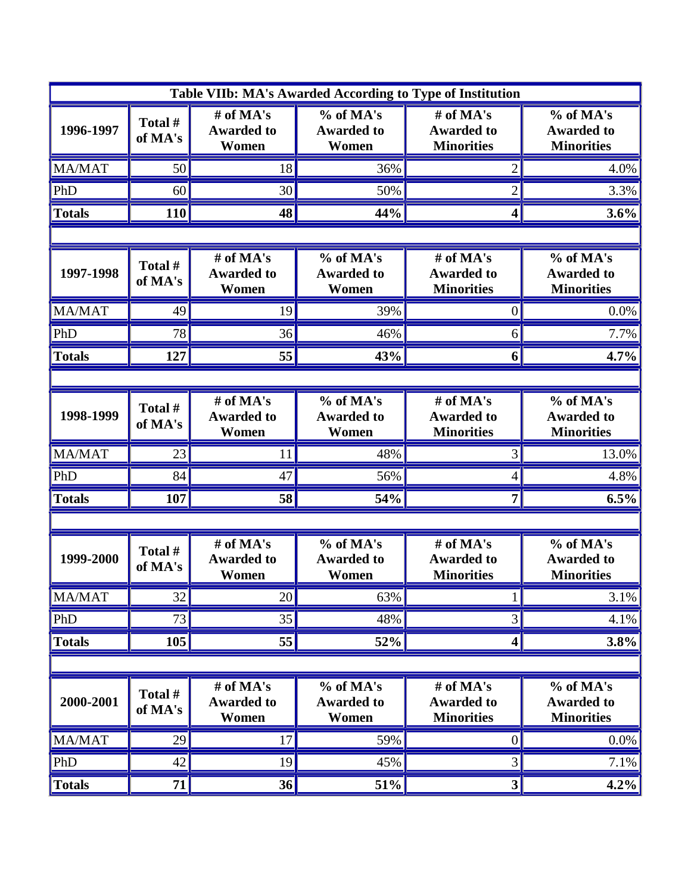| Table VIIb: MA's Awarded According to Type of Institution |                    |                                         |                                                       |                                                     |                                                     |  |  |  |
|-----------------------------------------------------------|--------------------|-----------------------------------------|-------------------------------------------------------|-----------------------------------------------------|-----------------------------------------------------|--|--|--|
| 1996-1997                                                 | Total#<br>of MA's  | # of MA's<br><b>Awarded to</b><br>Women | % of MA's<br><b>Awarded to</b><br>Women               | # of MA's<br><b>Awarded to</b><br><b>Minorities</b> | % of MA's<br><b>Awarded to</b><br><b>Minorities</b> |  |  |  |
| MA/MAT                                                    | 50                 | 18                                      | 36%                                                   | $\overline{2}$                                      | 4.0%                                                |  |  |  |
| PhD                                                       | 60                 | 30                                      | 50%                                                   | $\overline{2}$                                      | 3.3%                                                |  |  |  |
| <b>Totals</b>                                             | 110                | 48                                      | 44%                                                   | 4                                                   | 3.6%                                                |  |  |  |
|                                                           |                    |                                         |                                                       |                                                     |                                                     |  |  |  |
| 1997-1998                                                 | Total #<br>of MA's | # of MA's<br><b>Awarded to</b><br>Women | % of MA's<br><b>Awarded to</b><br>Women               | # of MA's<br><b>Awarded to</b><br><b>Minorities</b> | % of MA's<br><b>Awarded to</b><br><b>Minorities</b> |  |  |  |
| <b>MA/MAT</b>                                             | 49                 | 19                                      | 39%                                                   | 0                                                   | 0.0%                                                |  |  |  |
| PhD                                                       | 78                 | 36                                      | 46%                                                   | 6                                                   | 7.7%                                                |  |  |  |
| <b>Totals</b>                                             | 127                | 55                                      | 43%                                                   | 6                                                   | 4.7%                                                |  |  |  |
|                                                           |                    |                                         |                                                       |                                                     |                                                     |  |  |  |
| 1998-1999                                                 | Total#<br>of MA's  | # of MA's<br><b>Awarded to</b><br>Women | $\overline{\%}$ of MA's<br><b>Awarded to</b><br>Women | # of MA's<br><b>Awarded to</b><br><b>Minorities</b> | % of MA's<br><b>Awarded to</b><br><b>Minorities</b> |  |  |  |
| MA/MAT                                                    | 23                 | 11                                      | 48%                                                   | 3                                                   | 13.0%                                               |  |  |  |
| PhD                                                       | 84                 | 47                                      | 56%                                                   | 4                                                   | 4.8%                                                |  |  |  |
| <b>Totals</b>                                             | 107                | 58                                      | 54%                                                   | 7                                                   | 6.5%                                                |  |  |  |
|                                                           |                    |                                         |                                                       |                                                     |                                                     |  |  |  |
| 1999-2000                                                 | Total #<br>of MA's | # of MA's<br><b>Awarded to</b><br>Women | % of MA's<br><b>Awarded to</b><br>Women               | # of MA's<br><b>Awarded to</b><br><b>Minorities</b> | % of MA's<br><b>Awarded to</b><br><b>Minorities</b> |  |  |  |
| MA/MAT                                                    | 32                 | 20                                      | 63%                                                   |                                                     | 3.1%                                                |  |  |  |
| PhD                                                       | 73                 | 35                                      | 48%                                                   | 3                                                   | 4.1%                                                |  |  |  |
| <b>Totals</b>                                             | 105                | 55                                      | 52%                                                   | 4                                                   | 3.8%                                                |  |  |  |
|                                                           |                    |                                         |                                                       |                                                     |                                                     |  |  |  |
| 2000-2001                                                 | Total #<br>of MA's | # of MA's<br><b>Awarded to</b><br>Women | % of MA's<br><b>Awarded to</b><br>Women               | # of MA's<br><b>Awarded to</b><br><b>Minorities</b> | % of MA's<br><b>Awarded to</b><br><b>Minorities</b> |  |  |  |
| MA/MAT                                                    | 29                 | 17                                      | 59%                                                   | $\boldsymbol{0}$                                    | $0.0\%$                                             |  |  |  |
| PhD                                                       | 42                 | 19                                      | 45%                                                   | 3                                                   | 7.1%                                                |  |  |  |
| <b>Totals</b>                                             | 71                 | 36                                      | 51%                                                   | 3                                                   | 4.2%                                                |  |  |  |